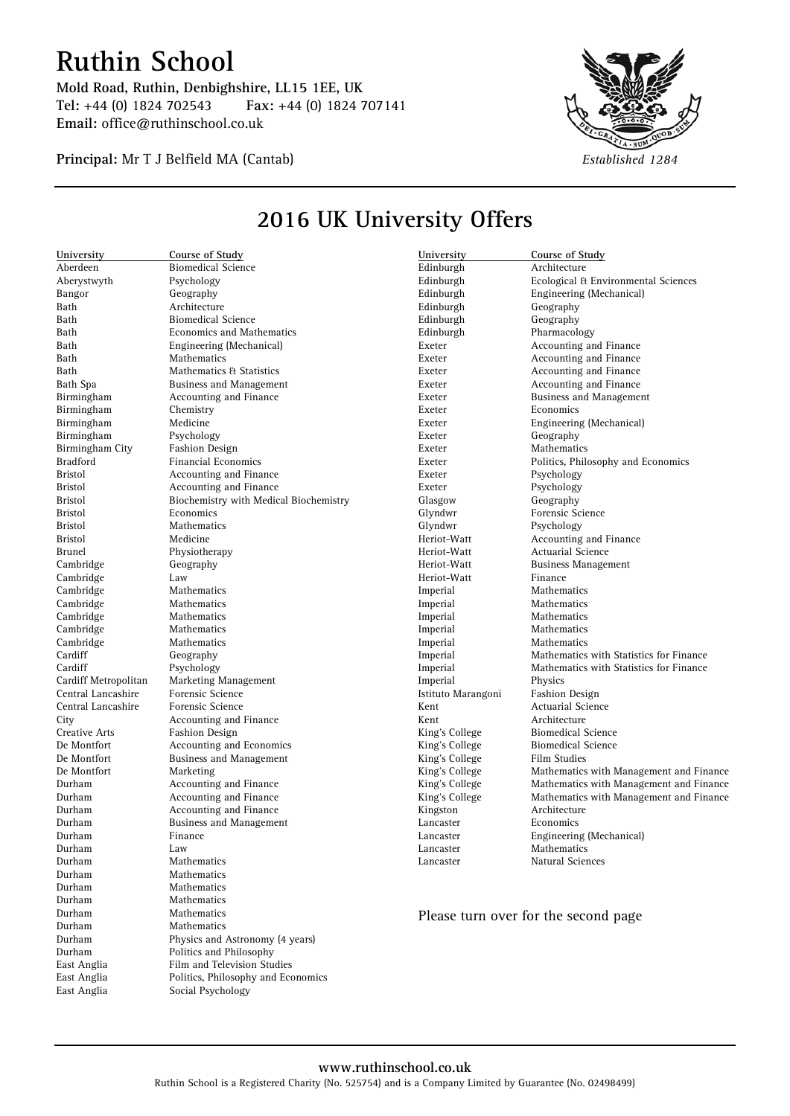## **Ruthin School**

**Mold Road, Ruthin, Denbighshire, LL15 1EE, UK Tel:** +44 (0) 1824 702543 **Fax:** +44 (0) 1824 707141 **Email:** office@ruthinschool.co.uk

**Principal:** Mr T J Belfield MA (Cantab) *Established 1284*

East Anglia Film and Television Studies<br>East Anglia Politics, Philosophy and Eco East Anglia Politics, Philosophy and Economics<br>
East Anglia Social Psychology Social Psychology



## **University Course of Study** Aberdeen Biomedical Science Aberystwyth Psychology Bangor Geography<br>Bath Architecture Bath Architecture<br>Bath Biomedical S Bath Biomedical Science<br>Bath Bornomics and Mat **Economics and Mathematics** Bath Engineering (Mechanical)<br>Bath Mathematics Mathematics Bath Mathematics & Statistics<br>Bath Spa Business and Managemen Business and Management Birmingham Accounting and Finance Birmingham Chemistry Birmingham Medicine Birmingham Psychology Birmingham City Fashion Design Bradford Financial Economics Bristol **Accounting and Finance Bristol Accounting and Finance** Bristol **Accounting and Finance**<br>Bristol **Biochemistry with Medic** Bristol Biochemistry with Medical Biochemistry<br>Bristol Economics Economics Bristol Mathematics Bristol Medicine Brunel Physiotherapy Cambridge Geography Cambridge Law Cambridge Mathematics<br>
Cambridge Mathematics Mathematics Cambridge Mathematics<br>
Cambridge Mathematics Mathematics Cambridge Mathematics Cardiff Geography Cardiff Psychology Cardiff Metropolitan Marketing Management Central Lancashire Forensic Science Central Lancashire Forensic Science City **Accounting and Finance**<br> **Creative Arts** Fashion Design **Creative Arts** Fashion Design<br>
De Montfort Accounting and Accounting and Economics De Montfort Business and Management De Montfort Marketing Durham **Accounting and Finance**<br>
Durham **Accounting and Finance** Accounting and Finance Durham **Accounting and Finance**<br> **Durham** Business and Manageme **Business and Management** Durham Finance Durham Law Durham Mathematics Durham Mathematics Durham Mathematics Durham Mathematics<br>Durham Mathematics **Mathematics** Durham Mathematics Durham Physics and Astronomy (4 years) Durham Politics and Philosophy<br>East Anglia Film and Television Stu-**University Course of Study** Architecture Edinburgh **Ecological & Environmental Sciences**<br>
Edinburgh **Engineering** (Mechanical) Edinburgh Engineering (Mechanical) Edinburgh Geography Geography Edinburgh Pharmacology Exeter **Accounting and Finance**<br> **Exeter** Accounting and Finance Accounting and Finance Exeter **Accounting and Finance**<br>Exeter **Accounting and Finance** Accounting and Finance Exeter **Business and Management** Exeter Economics Exeter Engineering (Mechanical) Exeter Geography Exeter Mathematics Exeter Politics, Philosophy and Economics Exeter Psychology Exeter Psychology Glasgow Geography<br>Glyndwr Forensic Sc Forensic Science Glyndwr Psychology Heriot-Watt **Accounting and Finance**<br>
Heriot-Watt **Actuarial Science** Actuarial Science Heriot-Watt Business Management Heriot-Watt Finance Imperial Mathematics<br>
Imperial Mathematics **Mathematics** Imperial Mathematics<br>
Imperial Mathematics **Mathematics** Imperial Mathematics Imperial Mathematics with Statistics for Finance Imperial Mathematics with Statistics for Finance Imperial Physics Istituto Marangoni Fashion Design Kent Actuarial Science Kent Architecture<br>
King's College Biomedical S Biomedical Science<br>Biomedical Science King's College King's College Film Studies<br>King's College Mathematics Mathematics with Management and Finance King's College Mathematics with Management and Finance King's College Mathematics with Management and Finance Kingston Architecture<br>Lancaster Economics Economics Lancaster Engineering (Mechanical) Mathematics Lancaster Natural Sciences Please turn over for the second page

## **2016 UK University Offers**